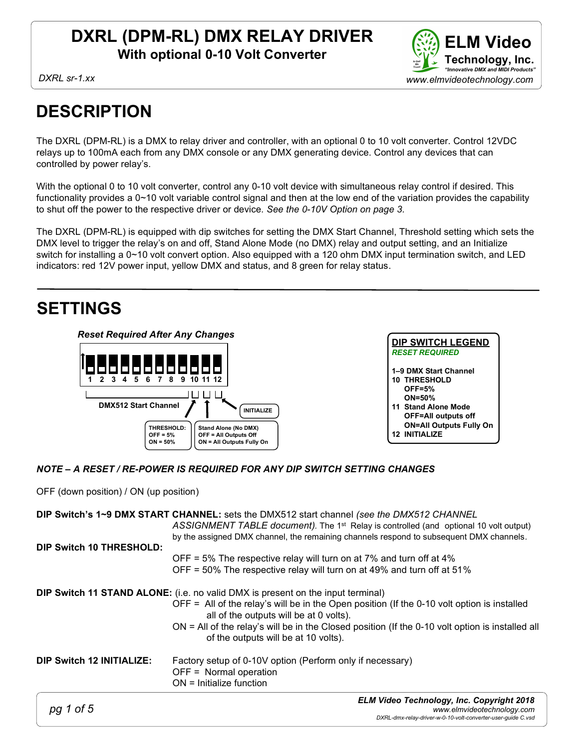

## **DESCRIPTION**

The DXRL (DPM-RL) is a DMX to relay driver and controller, with an optional 0 to 10 volt converter. Control 12VDC relays up to 100mA each from any DMX console or any DMX generating device. Control any devices that can controlled by power relay's.

With the optional 0 to 10 volt converter, control any 0-10 volt device with simultaneous relay control if desired. This functionality provides a 0~10 volt variable control signal and then at the low end of the variation provides the capability to shut off the power to the respective driver or device. See the 0-10V Option on page 3.

The DXRL (DPM-RL) is equipped with dip switches for setting the DMX Start Channel, Threshold setting which sets the DMX level to trigger the relay's on and off, Stand Alone Mode (no DMX) relay and output setting, and an Initialize switch for installing a 0~10 volt convert option. Also equipped with a 120 ohm DMX input termination switch, and LED indicators: red 12V power input, yellow DMX and status, and 8 green for relay status.

## SETTINGS



#### NOTE – A RESET / RE-POWER IS REQUIRED FOR ANY DIP SWITCH SETTING CHANGES

OFF (down position) / ON (up position)

|                                  | DIP Switch's 1~9 DMX START CHANNEL: sets the DMX512 start channel (see the DMX512 CHANNEL<br>ASSIGNMENT TABLE document). The 1 <sup>st</sup> Relay is controlled (and optional 10 volt output)<br>by the assigned DMX channel, the remaining channels respond to subsequent DMX channels.                                                                                      |
|----------------------------------|--------------------------------------------------------------------------------------------------------------------------------------------------------------------------------------------------------------------------------------------------------------------------------------------------------------------------------------------------------------------------------|
| <b>DIP Switch 10 THRESHOLD:</b>  | OFF = 5% The respective relay will turn on at 7% and turn off at 4%<br>OFF = 50% The respective relay will turn on at 49% and turn off at 51%                                                                                                                                                                                                                                  |
|                                  | <b>DIP Switch 11 STAND ALONE:</b> (i.e. no valid DMX is present on the input terminal)<br>OFF = All of the relay's will be in the Open position (If the 0-10 volt option is installed<br>all of the outputs will be at 0 volts).<br>$ON = All$ of the relay's will be in the Closed position (If the 0-10 volt option is installed all<br>of the outputs will be at 10 volts). |
| <b>DIP Switch 12 INITIALIZE:</b> | Factory setup of 0-10V option (Perform only if necessary)<br>OFF = Normal operation<br>$ON =$ Initialize function                                                                                                                                                                                                                                                              |
| 1 of 5                           | <b>ELM Video Technology, Inc. Copyright 2018</b><br>www.elmvideotechnology.com<br>DXRL-dmx-relay-driver-w-0-10-volt-converter-user-guide C.vsd                                                                                                                                                                                                                                 |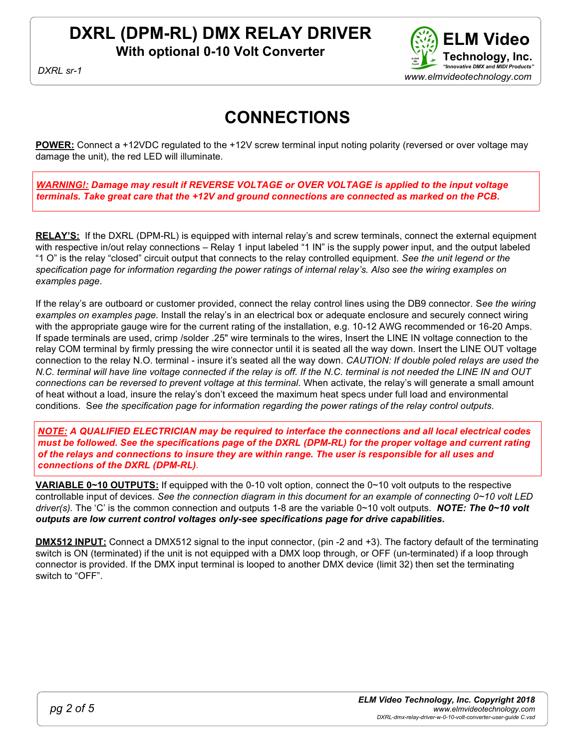# DXRL (DPM-RL) DMX RELAY DRIVER

With optional 0-10 Volt Converter



DXRI sr-1

## CONNECTIONS

POWER: Connect a +12VDC regulated to the +12V screw terminal input noting polarity (reversed or over voltage may damage the unit), the red LED will illuminate.

WARNING!: Damage may result if REVERSE VOLTAGE or OVER VOLTAGE is applied to the input voltage terminals. Take great care that the +12V and ground connections are connected as marked on the PCB.

RELAY'S: If the DXRL (DPM-RL) is equipped with internal relay's and screw terminals, connect the external equipment with respective in/out relay connections – Relay 1 input labeled "1 IN" is the supply power input, and the output labeled "1 O" is the relay "closed" circuit output that connects to the relay controlled equipment. See the unit legend or the specification page for information regarding the power ratings of internal relay's. Also see the wiring examples on examples page.

If the relay's are outboard or customer provided, connect the relay control lines using the DB9 connector. See the wiring examples on examples page. Install the relay's in an electrical box or adequate enclosure and securely connect wiring with the appropriate gauge wire for the current rating of the installation, e.g. 10-12 AWG recommended or 16-20 Amps. If spade terminals are used, crimp /solder .25" wire terminals to the wires, Insert the LINE IN voltage connection to the relay COM terminal by firmly pressing the wire connector until it is seated all the way down. Insert the LINE OUT voltage connection to the relay N.O. terminal - insure it's seated all the way down. CAUTION: If double poled relays are used the N.C. terminal will have line voltage connected if the relay is off. If the N.C. terminal is not needed the LINE IN and OUT connections can be reversed to prevent voltage at this terminal. When activate, the relay's will generate a small amount of heat without a load, insure the relay's don't exceed the maximum heat specs under full load and environmental conditions. See the specification page for information regarding the power ratings of the relay control outputs.

NOTE: A QUALIFIED ELECTRICIAN may be required to interface the connections and all local electrical codes must be followed. See the specifications page of the DXRL (DPM-RL) for the proper voltage and current rating of the relays and connections to insure they are within range. The user is responsible for all uses and connections of the DXRL (DPM-RL).

VARIABLE 0~10 OUTPUTS: If equipped with the 0-10 volt option, connect the 0~10 volt outputs to the respective controllable input of devices. See the connection diagram in this document for an example of connecting  $0\nu$ 10 volt LED driver(s). The 'C' is the common connection and outputs 1-8 are the variable  $0~10$  volt outputs. NOTE: The 0~10 volt outputs are low current control voltages only-see specifications page for drive capabilities.

DMX512 INPUT: Connect a DMX512 signal to the input connector, (pin -2 and +3). The factory default of the terminating switch is ON (terminated) if the unit is not equipped with a DMX loop through, or OFF (un-terminated) if a loop through connector is provided. If the DMX input terminal is looped to another DMX device (limit 32) then set the terminating switch to "OFF".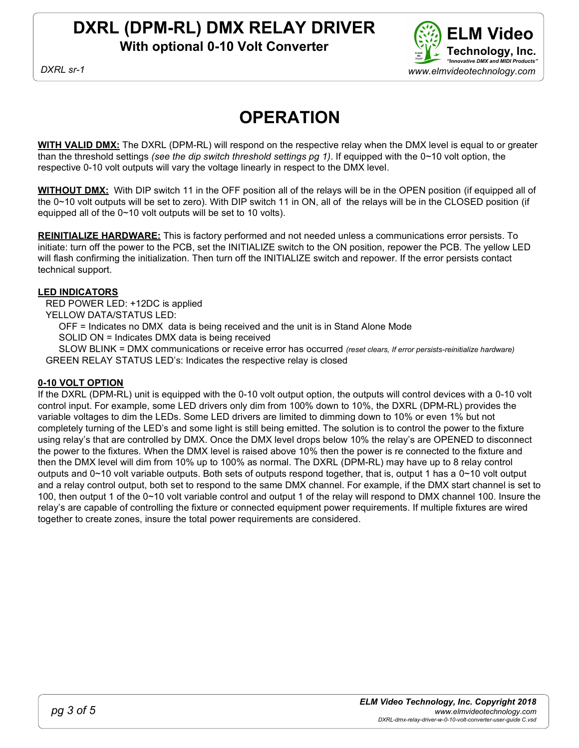

## **OPERATION**

WITH VALID DMX: The DXRL (DPM-RL) will respond on the respective relay when the DMX level is equal to or greater than the threshold settings (see the dip switch threshold settings pg 1). If equipped with the  $0\nu$ 10 volt option, the respective 0-10 volt outputs will vary the voltage linearly in respect to the DMX level.

WITHOUT DMX: With DIP switch 11 in the OFF position all of the relays will be in the OPEN position (if equipped all of the 0~10 volt outputs will be set to zero). With DIP switch 11 in ON, all of the relays will be in the CLOSED position (if equipped all of the 0~10 volt outputs will be set to 10 volts).

REINITIALIZE HARDWARE: This is factory performed and not needed unless a communications error persists. To initiate: turn off the power to the PCB, set the INITIALIZE switch to the ON position, repower the PCB. The yellow LED will flash confirming the initialization. Then turn off the INITIALIZE switch and repower. If the error persists contact technical support.

#### LED INDICATORS

RED POWER LED: +12DC is applied

YELLOW DATA/STATUS LED:

OFF = Indicates no DMX data is being received and the unit is in Stand Alone Mode

SOLID ON = Indicates DMX data is being received

SLOW BLINK = DMX communications or receive error has occurred (reset clears, If error persists-reinitialize hardware) GREEN RELAY STATUS LED's: Indicates the respective relay is closed

#### 0-10 VOLT OPTION

If the DXRL (DPM-RL) unit is equipped with the 0-10 volt output option, the outputs will control devices with a 0-10 volt control input. For example, some LED drivers only dim from 100% down to 10%, the DXRL (DPM-RL) provides the variable voltages to dim the LEDs. Some LED drivers are limited to dimming down to 10% or even 1% but not completely turning of the LED's and some light is still being emitted. The solution is to control the power to the fixture using relay's that are controlled by DMX. Once the DMX level drops below 10% the relay's are OPENED to disconnect the power to the fixtures. When the DMX level is raised above 10% then the power is re connected to the fixture and then the DMX level will dim from 10% up to 100% as normal. The DXRL (DPM-RL) may have up to 8 relay control outputs and 0~10 volt variable outputs. Both sets of outputs respond together, that is, output 1 has a 0~10 volt output and a relay control output, both set to respond to the same DMX channel. For example, if the DMX start channel is set to 100, then output 1 of the 0~10 volt variable control and output 1 of the relay will respond to DMX channel 100. Insure the relay's are capable of controlling the fixture or connected equipment power requirements. If multiple fixtures are wired together to create zones, insure the total power requirements are considered.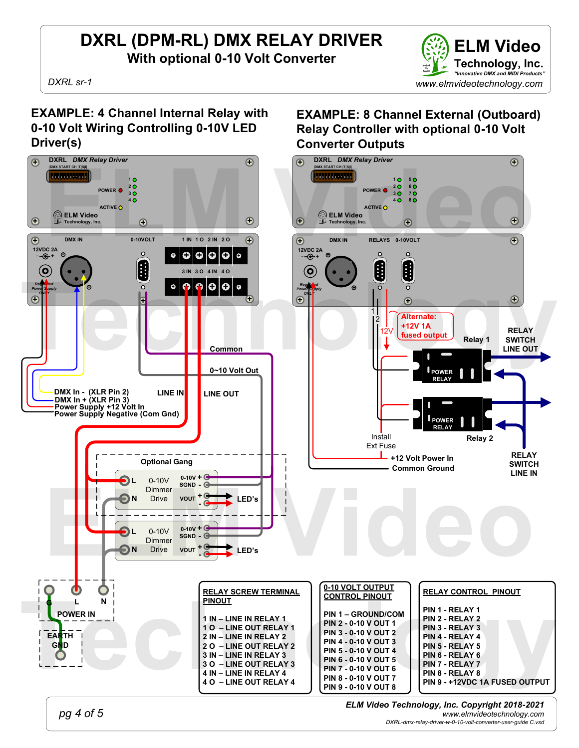

EXAMPLE: 8 Channel External (Outboard) Relay Controller with optional 0-10 Volt

Converter Outputs

#### EXAMPLE: 4 Channel Internal Relay with 0-10 Volt Wiring Controlling 0-10V LED Driver(s)



pg 4 of 5

ELM Video Technology, Inc. Copyright 2018-2021 www.elmvideotechnology.com

DXRL-dmx-relay-driver-w-0-10-volt-converter-user-guide C.vsd